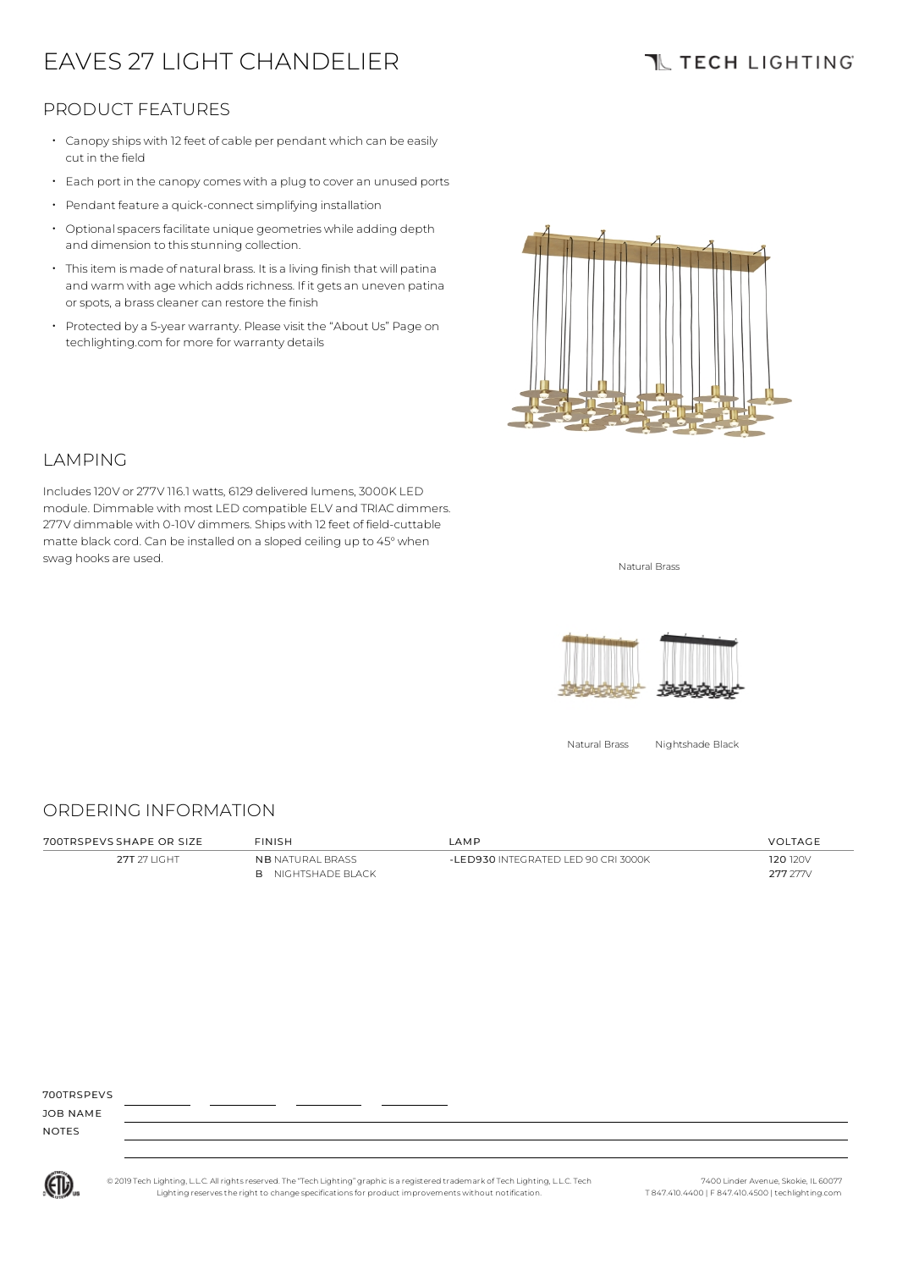# EAVES 27 LIGHT CHANDELIER

## **TL TECH LIGHTING**

### PRODUCT FEATURES

- Canopy ships with 12 feet of cable per pendant which can be easily cut in the field
- Each port in the canopycomes with <sup>a</sup> plug to cover an unused ports
- Pendant feature a quick-connect simplifying installation
- $\cdot$  Optional spacers facilitate unique geometries while adding depth and dimension to this stunning collection.
- Thisitem is made of natural brass. It is a living finish that will patina and warm with age which adds richness. If it gets an uneven patina or spots, a brass cleaner can restore the finish
- Protected by a 5-year warranty. Please visit the "About Us" Page on techlighting.com for more for warranty details



### LAMPING

Includes120V or 277V 116.1 watts, 6129 delivered lumens, 3000K LED module. Dimmable with most LED compatible ELV and TRIAC dimmers. 277V dimmable with 0-10V dimmers. Ships with 12 feet of field-cuttable matte black cord. Can be installed on a sloped ceiling up to 45°when swag hooks are used. Natural Brass and the state of the state of the state of the state of the state of the state of the state of the state of the state of the state of the state of the state of the state of the state of t



Natural Brass Nightshade Black

#### ORDERING INFORMATION

| 700TRSPFVS SHAPF OR SIZE | <b>FINISH</b>                                        | I AMP                               | <b>VOLTAGE</b>       |
|--------------------------|------------------------------------------------------|-------------------------------------|----------------------|
| 27T 27 LIGHT             | <b>NB NATURAL BRASS</b><br><b>B</b> NIGHTSHADE BLACK | -LED930 INTEGRATED LED 90 CRI 3000K | 120 120V<br>277.277/ |
|                          |                                                      |                                     |                      |

700TDSDEVS

JOB NAME NOTES



© 2019 Tech Lighting, L.L.C. All rightsreserved. The "Tech Lighting" graphicis a registered trademark of Tech Lighting, L.L.C. Tech Lighting reservesthe right to change specificationsfor product improvements without notification.

7400 Linder Avenue, Skokie, IL 60077 T 847.410.4400 | F 847.410.4500 | techlighting.com